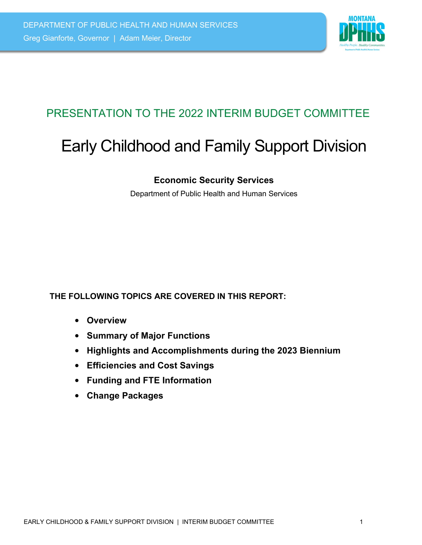

# PRESENTATION TO THE 2022 INTERIM BUDGET COMMITTEE

# Early Childhood and Family Support Division

### **Economic Security Services**

Department of Public Health and Human Services

### **THE FOLLOWING TOPICS ARE COVERED IN THIS REPORT:**

- **Overview**
- **Summary of Major Functions**
- **Highlights and Accomplishments during the 2023 Biennium**
- **Efficiencies and Cost Savings**
- **Funding and FTE Information**
- **Change Packages**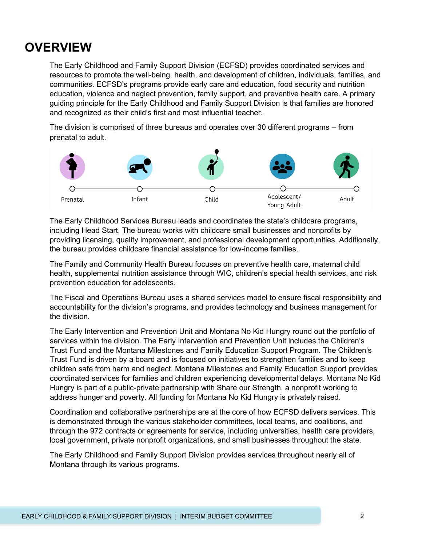# **OVERVIEW**

The Early Childhood and Family Support Division (ECFSD) provides coordinated services and resources to promote the well-being, health, and development of children, individuals, families, and communities. ECFSD's programs provide early care and education, food security and nutrition education, violence and neglect prevention, family support, and preventive health care. A primary guiding principle for the Early Childhood and Family Support Division is that families are honored and recognized as their child's first and most influential teacher.

The division is comprised of three bureaus and operates over 30 different programs — from prenatal to adult.



The Early Childhood Services Bureau leads and coordinates the state's childcare programs, including Head Start. The bureau works with childcare small businesses and nonprofits by providing licensing, quality improvement, and professional development opportunities. Additionally, the bureau provides childcare financial assistance for low-income families.

The Family and Community Health Bureau focuses on preventive health care, maternal child health, supplemental nutrition assistance through WIC, children's special health services, and risk prevention education for adolescents.

The Fiscal and Operations Bureau uses a shared services model to ensure fiscal responsibility and accountability for the division's programs, and provides technology and business management for the division.

The Early Intervention and Prevention Unit and Montana No Kid Hungry round out the portfolio of services within the division. The Early Intervention and Prevention Unit includes the Children's Trust Fund and the Montana Milestones and Family Education Support Program. The Children's Trust Fund is driven by a board and is focused on initiatives to strengthen families and to keep children safe from harm and neglect. Montana Milestones and Family Education Support provides coordinated services for families and children experiencing developmental delays. Montana No Kid Hungry is part of a public-private partnership with Share our Strength, a nonprofit working to address hunger and poverty. All funding for Montana No Kid Hungry is privately raised.

Coordination and collaborative partnerships are at the core of how ECFSD delivers services. This is demonstrated through the various stakeholder committees, local teams, and coalitions, and through the 972 contracts or agreements for service, including universities, health care providers, local government, private nonprofit organizations, and small businesses throughout the state.

The Early Childhood and Family Support Division provides services throughout nearly all of Montana through its various programs.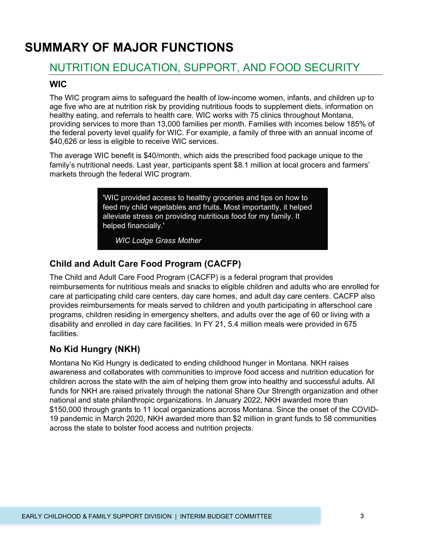# **SUMMARY OF MAJOR FUNCTIONS**

### NUTRITION EDUCATION, SUPPORT, AND FOOD SECURITY

### **WIC**

The WIC program aims to safeguard the health of low-income women, infants, and children up to age five who are at nutrition risk by providing nutritious foods to supplement diets, information on healthy eating, and referrals to health care. WIC works with 75 clinics throughout Montana, providing services to more than 13,000 families per month. Families with incomes below 185% of the federal poverty level qualify for WIC. For example, a family of three with an annual income of \$40,626 or less is eligible to receive WIC services.

The average WIC benefit is \$40/month, which aids the prescribed food package unique to the family's nutritional needs. Last year, participants spent \$8.1 million at local grocers and farmers' markets through the federal WIC program.

> 'WIC provided access to healthy groceries and tips on how to feed my child vegetables and fruits. Most importantly, it helped alleviate stress on providing nutritious food for my family. It helped financially.'

*WIC Lodge Grass Mother*

### **Child and Adult Care Food Program (CACFP)**

The Child and Adult Care Food Program (CACFP) is a federal program that provides reimbursements for nutritious meals and snacks to eligible children and adults who are enrolled for care at participating child care centers, day care homes, and adult day care centers. CACFP also provides reimbursements for meals served to children and youth participating in afterschool care programs, children residing in emergency shelters, and adults over the age of 60 or living with a disability and enrolled in day care facilities. In FY 21, 5.4 million meals were provided in 675 facilities.

### **No Kid Hungry (NKH)**

Montana No Kid Hungry is dedicated to ending childhood hunger in Montana. NKH raises awareness and collaborates with communities to improve food access and nutrition education for children across the state with the aim of helping them grow into healthy and successful adults. All funds for NKH are raised privately through the national Share Our Strength organization and other national and state philanthropic organizations. In January 2022, NKH awarded more than \$150,000 through grants to 11 local organizations across Montana. Since the onset of the COVID-19 pandemic in March 2020, NKH awarded more than \$2 million in grant funds to 58 communities across the state to bolster food access and nutrition projects.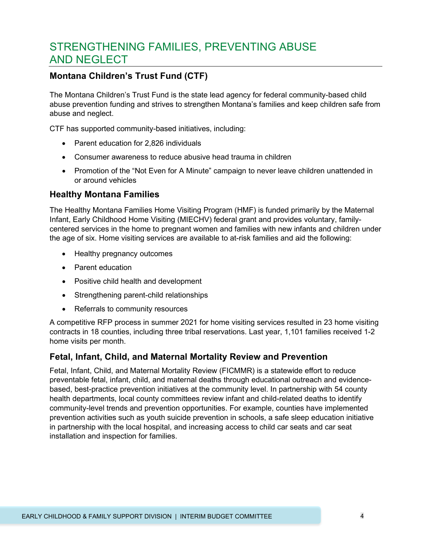# STRENGTHENING FAMILIES, PREVENTING ABUSE AND NEGLECT

### **Montana Children's Trust Fund (CTF)**

The Montana Children's Trust Fund is the state lead agency for federal community-based child abuse prevention funding and strives to strengthen Montana's families and keep children safe from abuse and neglect.

CTF has supported community-based initiatives, including:

- Parent education for 2,826 individuals
- Consumer awareness to reduce abusive head trauma in children
- Promotion of the "Not Even for A Minute" campaign to never leave children unattended in or around vehicles

#### **Healthy Montana Families**

The Healthy Montana Families Home Visiting Program (HMF) is funded primarily by the Maternal Infant, Early Childhood Home Visiting (MIECHV) federal grant and provides voluntary, familycentered services in the home to pregnant women and families with new infants and children under the age of six. Home visiting services are available to at-risk families and aid the following:

- Healthy pregnancy outcomes
- Parent education
- Positive child health and development
- Strengthening parent-child relationships
- Referrals to community resources

A competitive RFP process in summer 2021 for home visiting services resulted in 23 home visiting contracts in 18 counties, including three tribal reservations. Last year, 1,101 families received 1-2 home visits per month.

#### **Fetal, Infant, Child, and Maternal Mortality Review and Prevention**

Fetal, Infant, Child, and Maternal Mortality Review (FICMMR) is a statewide effort to reduce preventable fetal, infant, child, and maternal deaths through educational outreach and evidencebased, best-practice prevention initiatives at the community level. In partnership with 54 county health departments, local county committees review infant and child-related deaths to identify community-level trends and prevention opportunities. For example, counties have implemented prevention activities such as youth suicide prevention in schools, a safe sleep education initiative in partnership with the local hospital, and increasing access to child car seats and car seat installation and inspection for families.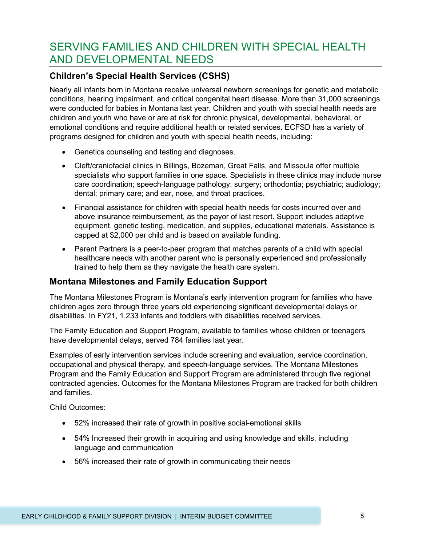# SERVING FAMILIES AND CHILDREN WITH SPECIAL HEALTH AND DEVELOPMENTAL NEEDS

### **Children's Special Health Services (CSHS)**

Nearly all infants born in Montana receive universal newborn screenings for genetic and metabolic conditions, hearing impairment, and critical congenital heart disease. More than 31,000 screenings were conducted for babies in Montana last year. Children and youth with special health needs are children and youth who have or are at risk for chronic physical, developmental, behavioral, or emotional conditions and require additional health or related services. ECFSD has a variety of programs designed for children and youth with special health needs, including:

- Genetics counseling and testing and diagnoses.
- Cleft/craniofacial clinics in Billings, Bozeman, Great Falls, and Missoula offer multiple specialists who support families in one space. Specialists in these clinics may include nurse care coordination; speech-language pathology; surgery; orthodontia; psychiatric; audiology; dental; primary care; and ear, nose, and throat practices.
- Financial assistance for children with special health needs for costs incurred over and above insurance reimbursement, as the payor of last resort. Support includes adaptive equipment, genetic testing, medication, and supplies, educational materials. Assistance is capped at \$2,000 per child and is based on available funding.
- Parent Partners is a peer-to-peer program that matches parents of a child with special healthcare needs with another parent who is personally experienced and professionally trained to help them as they navigate the health care system.

#### **Montana Milestones and Family Education Support**

The Montana Milestones Program is Montana's early intervention program for families who have children ages zero through three years old experiencing significant developmental delays or disabilities. In FY21, 1,233 infants and toddlers with disabilities received services.

The Family Education and Support Program, available to families whose children or teenagers have developmental delays, served 784 families last year.

Examples of early intervention services include screening and evaluation, service coordination, occupational and physical therapy, and speech-language services. The Montana Milestones Program and the Family Education and Support Program are administered through five regional contracted agencies. Outcomes for the Montana Milestones Program are tracked for both children and families.

Child Outcomes:

- 52% increased their rate of growth in positive social-emotional skills
- 54% Increased their growth in acquiring and using knowledge and skills, including language and communication
- 56% increased their rate of growth in communicating their needs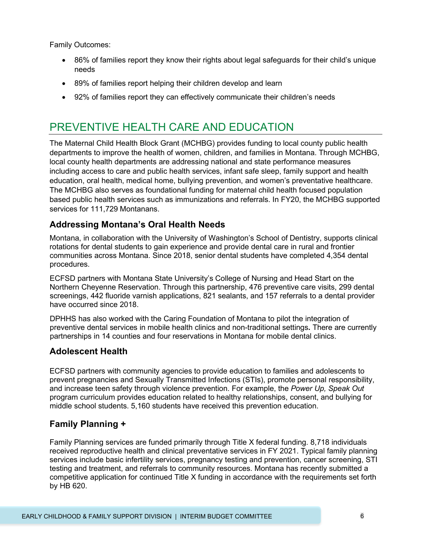Family Outcomes:

- 86% of families report they know their rights about legal safeguards for their child's unique needs
- 89% of families report helping their children develop and learn
- 92% of families report they can effectively communicate their children's needs

# PREVENTIVE HEALTH CARE AND EDUCATION

The Maternal Child Health Block Grant (MCHBG) provides funding to local county public health departments to improve the health of women, children, and families in Montana. Through MCHBG, local county health departments are addressing national and state performance measures including access to care and public health services, infant safe sleep, family support and health education, oral health, medical home, bullying prevention, and women's preventative healthcare. The MCHBG also serves as foundational funding for maternal child health focused population based public health services such as immunizations and referrals. In FY20, the MCHBG supported services for 111,729 Montanans.

### **Addressing Montana's Oral Health Needs**

Montana, in collaboration with the University of Washington's School of Dentistry, supports clinical rotations for dental students to gain experience and provide dental care in rural and frontier communities across Montana. Since 2018, senior dental students have completed 4,354 dental procedures.

ECFSD partners with Montana State University's College of Nursing and Head Start on the Northern Cheyenne Reservation. Through this partnership, 476 preventive care visits, 299 dental screenings, 442 fluoride varnish applications, 821 sealants, and 157 referrals to a dental provider have occurred since 2018.

DPHHS has also worked with the Caring Foundation of Montana to pilot the integration of preventive dental services in mobile health clinics and non-traditional settings**.** There are currently partnerships in 14 counties and four reservations in Montana for mobile dental clinics.

#### **Adolescent Health**

ECFSD partners with community agencies to provide education to families and adolescents to prevent pregnancies and Sexually Transmitted Infections (STIs), promote personal responsibility, and increase teen safety through violence prevention. For example, the *Power Up, Speak Out* program curriculum provides education related to healthy relationships, consent, and bullying for middle school students. 5,160 students have received this prevention education.

### **Family Planning +**

Family Planning services are funded primarily through Title X federal funding. 8,718 individuals received reproductive health and clinical preventative services in FY 2021. Typical family planning services include basic infertility services, pregnancy testing and prevention, cancer screening, STI testing and treatment, and referrals to community resources. Montana has recently submitted a competitive application for continued Title X funding in accordance with the requirements set forth by HB 620.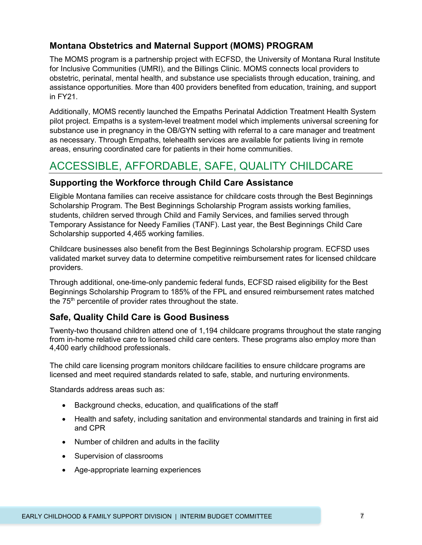### **Montana Obstetrics and Maternal Support (MOMS) PROGRAM**

The MOMS program is a partnership project with ECFSD, the University of Montana Rural Institute for Inclusive Communities (UMRI), and the Billings Clinic. MOMS connects local providers to obstetric, perinatal, mental health, and substance use specialists through education, training, and assistance opportunities. More than 400 providers benefited from education, training, and support in FY21.

Additionally, MOMS recently launched the Empaths Perinatal Addiction Treatment Health System pilot project. Empaths is a system-level treatment model which implements universal screening for substance use in pregnancy in the OB/GYN setting with referral to a care manager and treatment as necessary. Through Empaths, telehealth services are available for patients living in remote areas, ensuring coordinated care for patients in their home communities.

# ACCESSIBLE, AFFORDABLE, SAFE, QUALITY CHILDCARE

### **Supporting the Workforce through Child Care Assistance**

Eligible Montana families can receive assistance for childcare costs through the Best Beginnings Scholarship Program. The Best Beginnings Scholarship Program assists working families, students, children served through Child and Family Services, and families served through Temporary Assistance for Needy Families (TANF). Last year, the Best Beginnings Child Care Scholarship supported 4,465 working families.

Childcare businesses also benefit from the Best Beginnings Scholarship program. ECFSD uses validated market survey data to determine competitive reimbursement rates for licensed childcare providers.

Through additional, one-time-only pandemic federal funds, ECFSD raised eligibility for the Best Beginnings Scholarship Program to 185% of the FPL and ensured reimbursement rates matched the  $75<sup>th</sup>$  percentile of provider rates throughout the state.

### **Safe, Quality Child Care is Good Business**

Twenty-two thousand children attend one of 1,194 childcare programs throughout the state ranging from in-home relative care to licensed child care centers. These programs also employ more than 4,400 early childhood professionals.

The child care licensing program monitors childcare facilities to ensure childcare programs are licensed and meet required standards related to safe, stable, and nurturing environments.

Standards address areas such as:

- Background checks, education, and qualifications of the staff
- Health and safety, including sanitation and environmental standards and training in first aid and CPR
- Number of children and adults in the facility
- Supervision of classrooms
- Age-appropriate learning experiences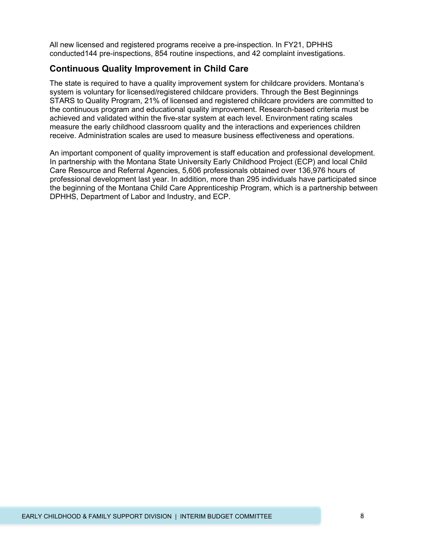All new licensed and registered programs receive a pre-inspection. In FY21, DPHHS conducted144 pre-inspections, 854 routine inspections, and 42 complaint investigations.

#### **Continuous Quality Improvement in Child Care**

The state is required to have a quality improvement system for childcare providers. Montana's system is voluntary for licensed/registered childcare providers. Through the Best Beginnings STARS to Quality Program, 21% of licensed and registered childcare providers are committed to the continuous program and educational quality improvement. Research-based criteria must be achieved and validated within the five-star system at each level. Environment rating scales measure the early childhood classroom quality and the interactions and experiences children receive. Administration scales are used to measure business effectiveness and operations.

An important component of quality improvement is staff education and professional development. In partnership with the Montana State University Early Childhood Project (ECP) and local Child Care Resource and Referral Agencies, 5,606 professionals obtained over 136,976 hours of professional development last year. In addition, more than 295 individuals have participated since the beginning of the Montana Child Care Apprenticeship Program, which is a partnership between DPHHS, Department of Labor and Industry, and ECP.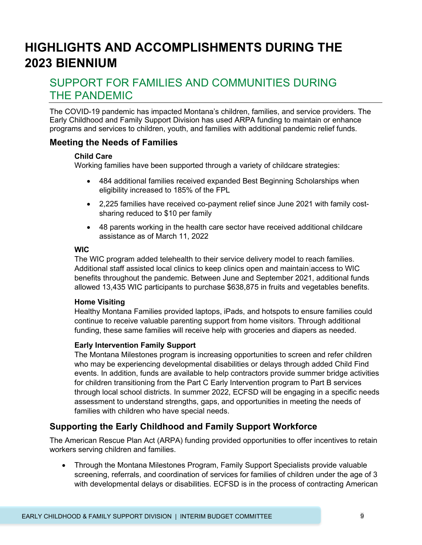# **HIGHLIGHTS AND ACCOMPLISHMENTS DURING THE 2023 BIENNIUM**

## SUPPORT FOR FAMILIES AND COMMUNITIES DURING THE PANDEMIC

The COVID-19 pandemic has impacted Montana's children, families, and service providers. The Early Childhood and Family Support Division has used ARPA funding to maintain or enhance programs and services to children, youth, and families with additional pandemic relief funds.

#### **Meeting the Needs of Families**

#### **Child Care**

Working families have been supported through a variety of childcare strategies:

- 484 additional families received expanded Best Beginning Scholarships when eligibility increased to 185% of the FPL
- 2,225 families have received co-payment relief since June 2021 with family costsharing reduced to \$10 per family
- 48 parents working in the health care sector have received additional childcare assistance as of March 11, 2022

#### **WIC**

The WIC program added telehealth to their service delivery model to reach families. Additional staff assisted local clinics to keep clinics open and maintain access to WIC benefits throughout the pandemic. Between June and September 2021, additional funds allowed 13,435 WIC participants to purchase \$638,875 in fruits and vegetables benefits.

#### **Home Visiting**

Healthy Montana Families provided laptops, iPads, and hotspots to ensure families could continue to receive valuable parenting support from home visitors. Through additional funding, these same families will receive help with groceries and diapers as needed.

#### **Early Intervention Family Support**

The Montana Milestones program is increasing opportunities to screen and refer children who may be experiencing developmental disabilities or delays through added Child Find events. In addition, funds are available to help contractors provide summer bridge activities for children transitioning from the Part C Early Intervention program to Part B services through local school districts. In summer 2022, ECFSD will be engaging in a specific needs assessment to understand strengths, gaps, and opportunities in meeting the needs of families with children who have special needs.

### **Supporting the Early Childhood and Family Support Workforce**

The American Rescue Plan Act (ARPA) funding provided opportunities to offer incentives to retain workers serving children and families.

• Through the Montana Milestones Program, Family Support Specialists provide valuable screening, referrals, and coordination of services for families of children under the age of 3 with developmental delays or disabilities. ECFSD is in the process of contracting American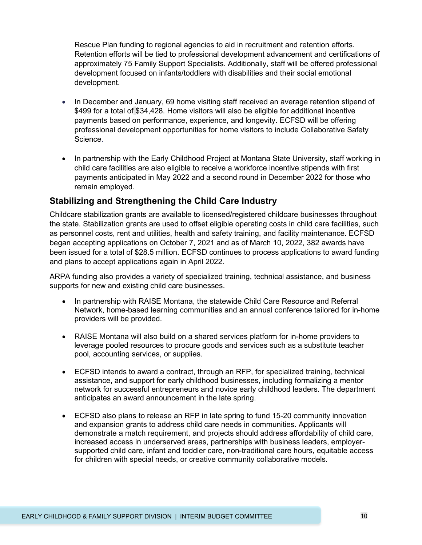Rescue Plan funding to regional agencies to aid in recruitment and retention efforts. Retention efforts will be tied to professional development advancement and certifications of approximately 75 Family Support Specialists. Additionally, staff will be offered professional development focused on infants/toddlers with disabilities and their social emotional development.

- In December and January, 69 home visiting staff received an average retention stipend of \$499 for a total of \$34,428. Home visitors will also be eligible for additional incentive payments based on performance, experience, and longevity. ECFSD will be offering professional development opportunities for home visitors to include Collaborative Safety Science.
- In partnership with the Early Childhood Project at Montana State University, staff working in child care facilities are also eligible to receive a workforce incentive stipends with first payments anticipated in May 2022 and a second round in December 2022 for those who remain employed.

#### **Stabilizing and Strengthening the Child Care Industry**

Childcare stabilization grants are available to licensed/registered childcare businesses throughout the state. Stabilization grants are used to offset eligible operating costs in child care facilities, such as personnel costs, rent and utilities, health and safety training, and facility maintenance. ECFSD began accepting applications on October 7, 2021 and as of March 10, 2022, 382 awards have been issued for a total of \$28.5 million. ECFSD continues to process applications to award funding and plans to accept applications again in April 2022.

ARPA funding also provides a variety of specialized training, technical assistance, and business supports for new and existing child care businesses.

- In partnership with RAISE Montana, the statewide Child Care Resource and Referral Network, home-based learning communities and an annual conference tailored for in-home providers will be provided.
- RAISE Montana will also build on a shared services platform for in-home providers to leverage pooled resources to procure goods and services such as a substitute teacher pool, accounting services, or supplies.
- ECFSD intends to award a contract, through an RFP, for specialized training, technical assistance, and support for early childhood businesses, including formalizing a mentor network for successful entrepreneurs and novice early childhood leaders. The department anticipates an award announcement in the late spring.
- ECFSD also plans to release an RFP in late spring to fund 15-20 community innovation and expansion grants to address child care needs in communities. Applicants will demonstrate a match requirement, and projects should address affordability of child care, increased access in underserved areas, partnerships with business leaders, employersupported child care, infant and toddler care, non-traditional care hours, equitable access for children with special needs, or creative community collaborative models.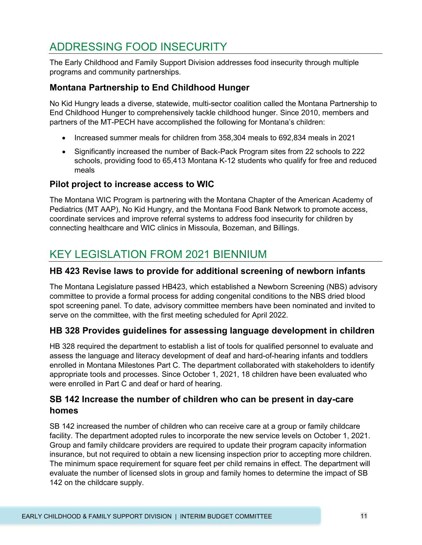# ADDRESSING FOOD INSECURITY

The Early Childhood and Family Support Division addresses food insecurity through multiple programs and community partnerships.

### **Montana Partnership to End Childhood Hunger**

No Kid Hungry leads a diverse, statewide, multi-sector coalition called the Montana Partnership to End Childhood Hunger to comprehensively tackle childhood hunger. Since 2010, members and partners of the MT-PECH have accomplished the following for Montana's children:

- Increased summer meals for children from 358,304 meals to 692,834 meals in 2021
- Significantly increased the number of Back-Pack Program sites from 22 schools to 222 schools, providing food to 65,413 Montana K-12 students who qualify for free and reduced meals

#### **Pilot project to increase access to WIC**

The Montana WIC Program is partnering with the Montana Chapter of the American Academy of Pediatrics (MT AAP), No Kid Hungry, and the Montana Food Bank Network to promote access, coordinate services and improve referral systems to address food insecurity for children by connecting healthcare and WIC clinics in Missoula, Bozeman, and Billings.

# KEY LEGISLATION FROM 2021 BIENNIUM

#### **HB 423 Revise laws to provide for additional screening of newborn infants**

The Montana Legislature passed HB423, which established a Newborn Screening (NBS) advisory committee to provide a formal process for adding congenital conditions to the NBS dried blood spot screening panel. To date, advisory committee members have been nominated and invited to serve on the committee, with the first meeting scheduled for April 2022.

#### **HB 328 Provides guidelines for assessing language development in children**

HB 328 required the department to establish a list of tools for qualified personnel to evaluate and assess the language and literacy development of deaf and hard-of-hearing infants and toddlers enrolled in Montana Milestones Part C. The department collaborated with stakeholders to identify appropriate tools and processes. Since October 1, 2021, 18 children have been evaluated who were enrolled in Part C and deaf or hard of hearing.

### **SB 142 Increase the number of children who can be present in day-care homes**

SB 142 increased the number of children who can receive care at a group or family childcare facility. The department adopted rules to incorporate the new service levels on October 1, 2021. Group and family childcare providers are required to update their program capacity information insurance, but not required to obtain a new licensing inspection prior to accepting more children. The minimum space requirement for square feet per child remains in effect. The department will evaluate the number of licensed slots in group and family homes to determine the impact of SB 142 on the childcare supply.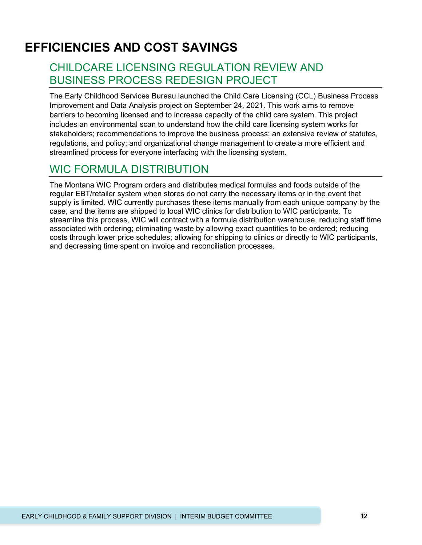# **EFFICIENCIES AND COST SAVINGS**

# CHILDCARE LICENSING REGULATION REVIEW AND BUSINESS PROCESS REDESIGN PROJECT

The Early Childhood Services Bureau launched the Child Care Licensing (CCL) Business Process Improvement and Data Analysis project on September 24, 2021. This work aims to remove barriers to becoming licensed and to increase capacity of the child care system. This project includes an environmental scan to understand how the child care licensing system works for stakeholders; recommendations to improve the business process; an extensive review of statutes, regulations, and policy; and organizational change management to create a more efficient and streamlined process for everyone interfacing with the licensing system.

# WIC FORMULA DISTRIBUTION

The Montana WIC Program orders and distributes medical formulas and foods outside of the regular EBT/retailer system when stores do not carry the necessary items or in the event that supply is limited. WIC currently purchases these items manually from each unique company by the case, and the items are shipped to local WIC clinics for distribution to WIC participants. To streamline this process, WIC will contract with a formula distribution warehouse, reducing staff time associated with ordering; eliminating waste by allowing exact quantities to be ordered; reducing costs through lower price schedules; allowing for shipping to clinics or directly to WIC participants, and decreasing time spent on invoice and reconciliation processes.